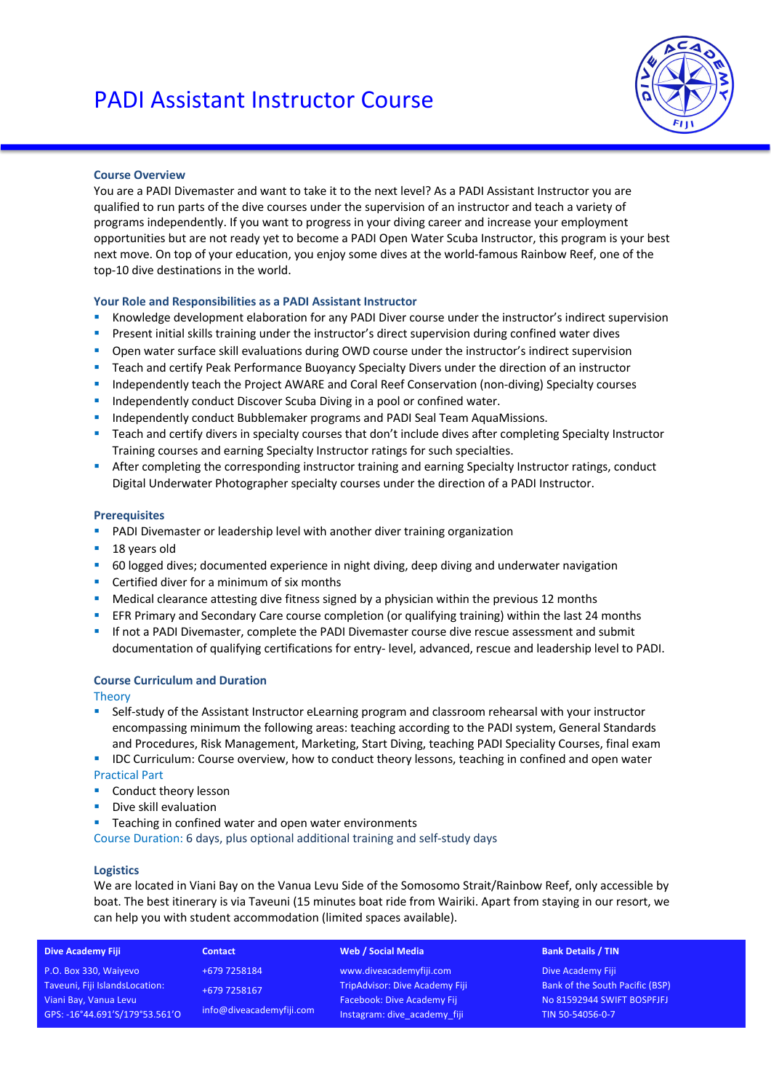

## **Course Overview**

You are a PADI Divemaster and want to take it to the next level? As a PADI Assistant Instructor you are qualified to run parts of the dive courses under the supervision of an instructor and teach a variety of programs independently. If you want to progress in your diving career and increase your employment opportunities but are not ready yet to become a PADI Open Water Scuba Instructor, this program is your best next move. On top of your education, you enjoy some dives at the world-famous Rainbow Reef, one of the top-10 dive destinations in the world.

## **Your Role and Responsibilities as a PADI Assistant Instructor**

- § Knowledge development elaboration for any PADI Diver course under the instructor's indirect supervision
- Present initial skills training under the instructor's direct supervision during confined water dives
- Open water surface skill evaluations during OWD course under the instructor's indirect supervision
- Teach and certify Peak Performance Buoyancy Specialty Divers under the direction of an instructor
- § Independently teach the Project AWARE and Coral Reef Conservation (non-diving) Specialty courses
- Independently conduct Discover Scuba Diving in a pool or confined water.
- Independently conduct Bubblemaker programs and PADI Seal Team AquaMissions.
- Teach and certify divers in specialty courses that don't include dives after completing Specialty Instructor Training courses and earning Specialty Instructor ratings for such specialties.
- After completing the corresponding instructor training and earning Specialty Instructor ratings, conduct Digital Underwater Photographer specialty courses under the direction of a PADI Instructor.

#### **Prerequisites**

- **PADI Divemaster or leadership level with another diver training organization**
- 18 years old
- 60 logged dives; documented experience in night diving, deep diving and underwater navigation
- Certified diver for a minimum of six months
- Medical clearance attesting dive fitness signed by a physician within the previous 12 months
- **EFR Primary and Secondary Care course completion (or qualifying training) within the last 24 months**
- If not a PADI Divemaster, complete the PADI Divemaster course dive rescue assessment and submit documentation of qualifying certifications for entry- level, advanced, rescue and leadership level to PADI.

# **Course Curriculum and Duration**

**Theory** 

- Self-study of the Assistant Instructor eLearning program and classroom rehearsal with your instructor encompassing minimum the following areas: teaching according to the PADI system, General Standards and Procedures, Risk Management, Marketing, Start Diving, teaching PADI Speciality Courses, final exam
- IDC Curriculum: Course overview, how to conduct theory lessons, teaching in confined and open water Practical Part
- Conduct theory lesson
- **•** Dive skill evaluation
- Teaching in confined water and open water environments

Course Duration: 6 days, plus optional additional training and self-study days

#### **Logistics**

We are located in Viani Bay on the Vanua Levu Side of the Somosomo Strait/Rainbow Reef, only accessible by boat. The best itinerary is via Taveuni (15 minutes boat ride from Wairiki. Apart from staying in our resort, we can help you with student accommodation (limited spaces available).

| <b>Dive Academy Fiji</b>       | <b>Contact</b>                           | Web / Social Media                    | <b>Bank Details / TIN</b>       |
|--------------------------------|------------------------------------------|---------------------------------------|---------------------------------|
| P.O. Box 330, Waiyevo          | +679 7258184                             | www.diveacademyfiji.com               | Dive Academy Fiji               |
| Taveuni, Fiji IslandsLocation: | +679 7258167<br>info@diveacademyfiji.com | <b>TripAdvisor: Dive Academy Fiji</b> | Bank of the South Pacific (BSP) |
| Viani Bay, Vanua Levu          |                                          | <b>Facebook: Dive Academy Fij</b>     | No 81592944 SWIFT BOSPFJFJ      |
| GPS: -16°44.691'S/179°53.561'O |                                          | Instagram: dive academy fiji          | TIN 50-54056-0-7                |